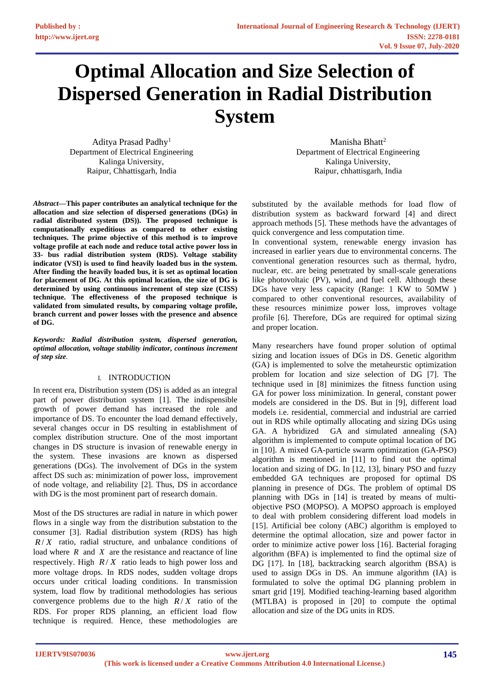# **Optimal Allocation and Size Selection of Dispersed Generation in Radial Distribution System**

Aditya Prasad Padhy<sup>1</sup> Department of Electrical Engineering Kalinga University, Raipur, Chhattisgarh, India

*Abstract***—This paper contributes an analytical technique for the allocation and size selection of dispersed generations (DGs) in radial distributed system (DS)). The proposed technique is computationally expeditious as compared to other existing techniques. The prime objective of this method is to improve voltage profile at each node and reduce total active power loss in 33- bus radial distribution system (RDS). Voltage stability indicator (VSI) is used to find heavily loaded bus in the system. After finding the heavily loaded bus, it is set as optimal location for placement of DG. At this optimal location, the size of DG is determined by using continuous increment of step size (CISS) technique. The effectiveness of the proposed technique is validated from simulated results, by comparing voltage profile, branch current and power losses with the presence and absence of DG.**

*Keywords: Radial distribution system, dispersed generation, optimal allocation, voltage stability indicator, continous increment of step size.*

## I. INTRODUCTION

In recent era, Distribution system (DS) is added as an integral part of power distribution system [1]. The indispensible growth of power demand has increased the role and importance of DS. To encounter the load demand effectively, several changes occur in DS resulting in establishment of complex distribution structure. One of the most important changes in DS structure is invasion of renewable energy in the system. These invasions are known as dispersed generations (DGs). The involvement of DGs in the system affect DS such as: minimization of power loss, improvement of node voltage, and reliability [2]. Thus, DS in accordance with DG is the most prominent part of research domain.

Most of the DS structures are radial in nature in which power flows in a single way from the distribution substation to the consumer [3]. Radial distribution system (RDS) has high  $R/X$  ratio, radial structure, and unbalance conditions of load where  $R$  and  $X$  are the resistance and reactance of line respectively. High  $R/X$  ratio leads to high power loss and more voltage drops. In RDS nodes, sudden voltage drops occurs under critical loading conditions. In transmission system, load flow by traditional methodologies has serious convergence problems due to the high  $R/X$  ratio of the RDS. For proper RDS planning, an efficient load flow technique is required. Hence, these methodologies are

Manisha Bhatt<sup>2</sup> Department of Electrical Engineering Kalinga University, Raipur, chhattisgarh, India

substituted by the available methods for load flow of distribution system as backward forward [4] and direct approach methods [5]. These methods have the advantages of quick convergence and less computation time.

In conventional system, renewable energy invasion has increased in earlier years due to environmental concerns. The conventional generation resources such as thermal, hydro, nuclear, etc. are being penetrated by small-scale generations like photovoltaic (PV), wind, and fuel cell. Although these DGs have very less capacity (Range: 1 KW to 50MW ) compared to other conventional resources, availability of these resources minimize power loss, improves voltage profile [6]. Therefore, DGs are required for optimal sizing and proper location.

Many researchers have found proper solution of optimal sizing and location issues of DGs in DS. Genetic algorithm (GA) is implemented to solve the metaheurstic optimization problem for location and size selection of DG [7]. The technique used in [8] minimizes the fitness function using GA for power loss minimization. In general, constant power models are considered in the DS. But in [9], different load models i.e. residential, commercial and industrial are carried out in RDS while optimally allocating and sizing DGs using GA. A hybridized GA and simulated annealing (SA) algorithm is implemented to compute optimal location of DG in [10]. A mixed GA-particle swarm optimization (GA-PSO) algorithm is mentioned in [11] to find out the optimal location and sizing of DG. In [12, 13], binary PSO and fuzzy embedded GA techniques are proposed for optimal DS planning in presence of DGs. The problem of optimal DS planning with DGs in [14] is treated by means of multiobjective PSO (MOPSO). A MOPSO approach is employed to deal with problem considering different load models in [15]. Artificial bee colony (ABC) algorithm is employed to determine the optimal allocation, size and power factor in order to minimize active power loss [16]. Bacterial foraging algorithm (BFA) is implemented to find the optimal size of DG [17]. In [18], backtracking search algorithm (BSA) is used to assign DGs in DS. An immune algorithm (IA) is formulated to solve the optimal DG planning problem in smart grid [19]. Modified teaching-learning based algorithm (MTLBA) is proposed in [20] to compute the optimal allocation and size of the DG units in RDS.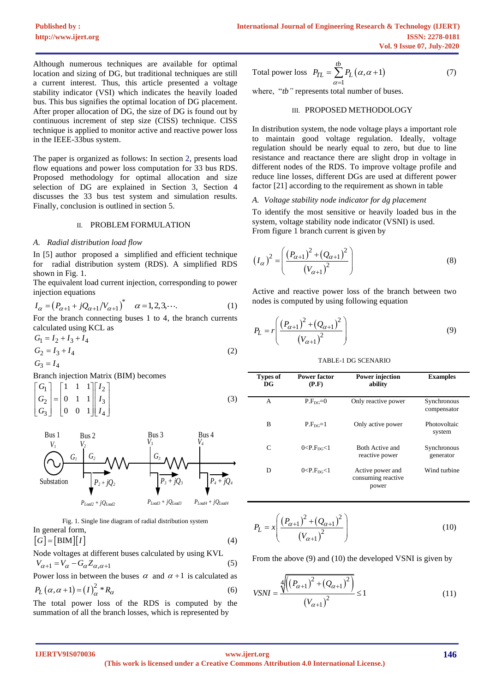Although numerous techniques are available for optimal location and sizing of DG, but traditional techniques are still a current interest. Thus, this article presented a voltage stability indicator (VSI) which indicates the heavily loaded bus. This bus signifies the optimal location of DG placement. After proper allocation of DG, the size of DG is found out by continuous increment of step size (CISS) technique. CISS technique is applied to monitor active and reactive power loss in the IEEE-33bus system.

The paper is organized as follows: In section 2, presents load flow equations and power loss computation for 33 bus RDS. Proposed methodology for optimal allocation and size selection of DG are explained in Section 3, Section 4 discusses the 33 bus test system and simulation results. Finally, conclusion is outlined in section 5.

## II. PROBLEM FORMULATION

#### *A. Radial distribution load flow*

In [5] author proposed a simplified and efficient technique for radial distribution system (RDS). A simplified RDS shown in Fig. 1.

The equivalent load current injection, corresponding to power injection equations

$$
I_{\alpha} = (P_{\alpha+1} + jQ_{\alpha+1}/V_{\alpha+1})^* \quad \alpha = 1, 2, 3, \cdots.
$$
 (1)

For the branch connecting buses 1 to 4, the branch currents calculated using KCL as

$$
G_1 = I_2 + I_3 + I_4
$$
  
\n
$$
G_2 = I_3 + I_4
$$
\n(2)

 $G_3 = I_4$ 

Branch injection Matrix (BIM) becomes

$$
\begin{bmatrix} G_1 \\ G_2 \\ G_3 \end{bmatrix} = \begin{bmatrix} 1 & 1 & 1 \\ 0 & 1 & 1 \\ 0 & 0 & 1 \end{bmatrix} \begin{bmatrix} I_2 \\ I_3 \\ I_4 \end{bmatrix}
$$
 (3)



Fig. 1. Single line diagram of radial distribution system  
In general form,  

$$
[G] = [BIM][I]
$$
 (4)

Node voltages at different buses calculated by using KVL  $V_{\alpha+1} = V_{\alpha} - G_{\alpha} Z_{\alpha,\alpha+1}$ (5)

Power loss in between the buses  $\alpha$  and  $\alpha + 1$  is calculated as  $P_L(\alpha, \alpha+1) = (I)_{\alpha}^2 * R_{\alpha}$ (6)

The total power loss of the RDS is computed by the summation of all the branch losses, which is represented by\n
$$
y = \sqrt{a^2 + a^2}
$$

Total power loss 
$$
P_{TL} = \sum_{\alpha=1}^{tb} P_L(\alpha, \alpha + 1)
$$
 (7)

where, "*tb*" represents total number of buses.

#### III. PROPOSED METHODOLOGY

In distribution system, the node voltage plays a important role to maintain good voltage regulation. Ideally, voltage regulation should be nearly equal to zero, but due to line resistance and reactance there are slight drop in voltage in different nodes of the RDS. To improve voltage profile and reduce line losses, different DGs are used at different power factor [21] according to the requirement as shown in table

#### *A. Voltage stability node indicator for dg placement*

To identify the most sensitive or heavily loaded bus in the system, voltage stability node indicator (VSNI) is used. From figure 1 branch current is given by

$$
(I_{\alpha})^2 = \left(\frac{(P_{\alpha+1})^2 + (Q_{\alpha+1})^2}{(V_{\alpha+1})^2}\right)
$$
 (8)

Active and reactive power loss of the branch between two nodes is computed by using following equation

$$
P_L = r \left( \frac{\left( P_{\alpha+1} \right)^2 + \left( Q_{\alpha+1} \right)^2}{\left( V_{\alpha+1} \right)^2} \right) \tag{9}
$$

TABLE-1 DG SCENARIO

| <b>Types of</b><br>DG | Power factor<br>(P.F)     | <b>Power injection</b><br>ability               | <b>Examples</b>            |
|-----------------------|---------------------------|-------------------------------------------------|----------------------------|
| A                     | $P.FDC=0$                 | Only reactive power                             | Synchronous<br>compensator |
| B                     | $P.F_{DC}=1$              | Only active power                               | Photovoltaic<br>system     |
| C                     | 0 < P.F <sub>DC</sub> < 1 | Both Active and<br>reactive power               | Synchronous<br>generator   |
| D                     | 0 < P.F <sub>DG</sub> < 1 | Active power and<br>consuming reactive<br>power | Wind turbine               |

$$
P_L = x \left( \frac{\left( P_{\alpha+1} \right)^2 + \left( Q_{\alpha+1} \right)^2}{\left( V_{\alpha+1} \right)^2} \right) \tag{10}
$$

From the above (9) and (10) the developed VSNI is given by

$$
VSNI = \frac{\sqrt[4]{((P_{\alpha+1})^2 + (Q_{\alpha+1})^2)}}{(V_{\alpha+1})^2} \le 1
$$
\n(11)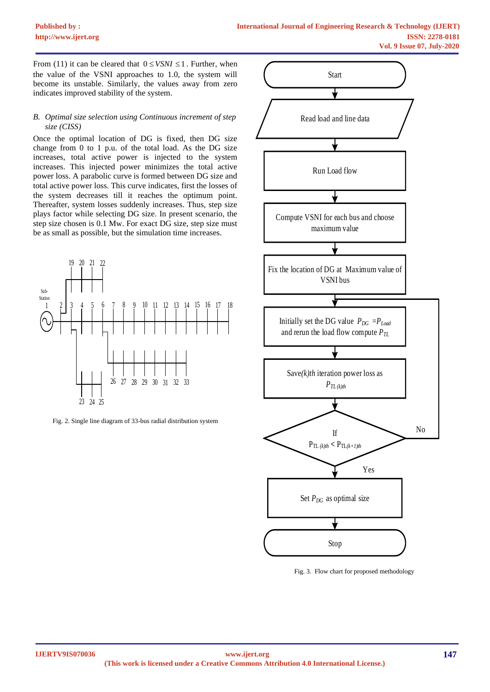From (11) it can be cleared that  $0 \leq$  *VSNI*  $\leq$  1. Further, when the value of the VSNI approaches to 1.0, the system will become its unstable. Similarly, the values away from zero indicates improved stability of the system.

## *B. Optimal size selection using Continuous increment of step size (CISS)*

Once the optimal location of DG is fixed, then DG size change from 0 to 1 p.u. of the total load. As the DG size increases, total active power is injected to the system increases. This injected power minimizes the total active power loss. A parabolic curve is formed between DG size and total active power loss. This curve indicates, first the losses of the system decreases till it reaches the optimum point. Thereafter, system losses suddenly increases. Thus, step size plays factor while selecting DG size. In present scenario, the step size chosen is 0.1 Mw. For exact DG size, step size must be as small as possible, but the simulation time increases.



Fig. 2. Single line diagram of 33-bus radial distribution system



Fig. 3. Flow chart for proposed methodology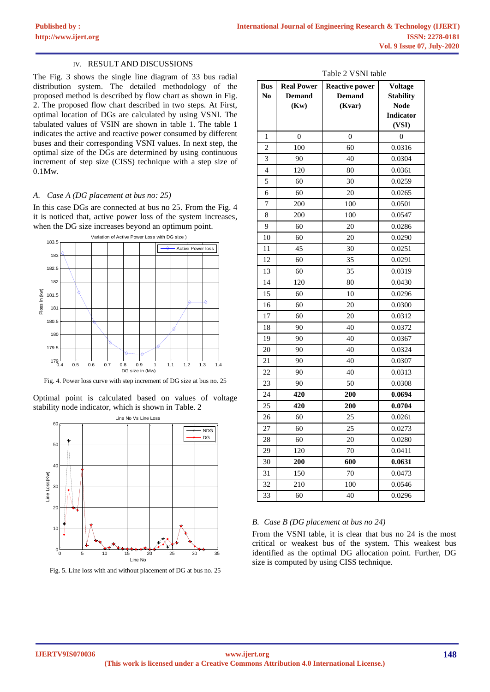#### IV. RESULT AND DISCUSSIONS

The Fig. 3 shows the single line diagram of 33 bus radial distribution system. The detailed methodology of the proposed method is described by flow chart as shown in Fig. 2. The proposed flow chart described in two steps. At First, optimal location of DGs are calculated by using VSNI. The tabulated values of VSIN are shown in table 1. The table 1 indicates the active and reactive power consumed by different buses and their corresponding VSNI values. In next step, the optimal size of the DGs are determined by using continuous increment of step size (CISS) technique with a step size of 0.1Mw.

#### *A. Case A (DG placement at bus no: 25)*

In this case DGs are connected at bus no 25. From the Fig. 4 it is noticed that, active power loss of the system increases, when the DG size increases beyond an optimum point.



Fig. 4. Power loss curve with step increment of DG size at bus no. 25

Optimal point is calculated based on values of voltage stability node indicator, which is shown in Table. 2



Fig. 5. Line loss with and without placement of DG at bus no. 25

| Table 2 VSNI table |  |  |
|--------------------|--|--|
|--------------------|--|--|

| <b>Bus</b><br>N <sub>0</sub> | <b>Real Power</b><br><b>Demand</b><br>(Kw) | <b>Reactive power</b><br><b>Demand</b><br>(Kvar) | <b>Voltage</b><br><b>Stability</b><br><b>Node</b><br><b>Indicator</b><br>(VSI) |
|------------------------------|--------------------------------------------|--------------------------------------------------|--------------------------------------------------------------------------------|
| 1                            | 0                                          | $\boldsymbol{0}$                                 | $\overline{0}$                                                                 |
| $\overline{c}$               | 100                                        | 60                                               | 0.0316                                                                         |
| 3                            | 90                                         | 40                                               | 0.0304                                                                         |
| $\overline{4}$               | 120                                        | 80                                               | 0.0361                                                                         |
| 5                            | 60                                         | 30                                               | 0.0259                                                                         |
| 6                            | 60                                         | 20                                               | 0.0265                                                                         |
| 7                            | 200                                        | 100                                              | 0.0501                                                                         |
| 8                            | 200                                        | 100                                              | 0.0547                                                                         |
| 9                            | 60                                         | 20                                               | 0.0286                                                                         |
| 10                           | 60                                         | 20                                               | 0.0290                                                                         |
| 11                           | 45                                         | 30                                               | 0.0251                                                                         |
| 12                           | 60                                         | 35                                               | 0.0291                                                                         |
| 13                           | 60                                         | 35                                               | 0.0319                                                                         |
| 14                           | 120                                        | 80                                               | 0.0430                                                                         |
| 15                           | 60                                         | 10                                               | 0.0296                                                                         |
| 16                           | 60                                         | 20                                               | 0.0300                                                                         |
| 17                           | 60                                         | 20                                               | 0.0312                                                                         |
| 18                           | 90                                         | 40                                               | 0.0372                                                                         |
| 19                           | 90                                         | 40                                               | 0.0367                                                                         |
| 20                           | 90                                         | 40                                               | 0.0324                                                                         |
| 21                           | 90                                         | 40                                               | 0.0307                                                                         |
| 22                           | 90                                         | 40                                               | 0.0313                                                                         |
| 23                           | 90                                         | 50                                               | 0.0308                                                                         |
| 24                           | 420                                        | 200                                              | 0.0694                                                                         |
| 25                           | 420                                        | 200                                              | 0.0704                                                                         |
| 26                           | 60                                         | 25                                               | 0.0261                                                                         |
| 27                           | 60                                         | 25                                               | 0.0273                                                                         |
| 28                           | 60                                         | 20                                               | 0.0280                                                                         |
| 29                           | 120                                        | 70                                               | 0.0411                                                                         |
| 30                           | 200                                        | 600                                              | 0.0631                                                                         |
| 31                           | 150                                        | 70                                               | 0.0473                                                                         |
| 32                           | 210                                        | 100                                              | 0.0546                                                                         |
| 33                           | 60                                         | 40                                               | 0.0296                                                                         |

### *B. Case B (DG placement at bus no 24)*

From the VSNI table, it is clear that bus no 24 is the most critical or weakest bus of the system. This weakest bus identified as the optimal DG allocation point. Further, DG size is computed by using CISS technique.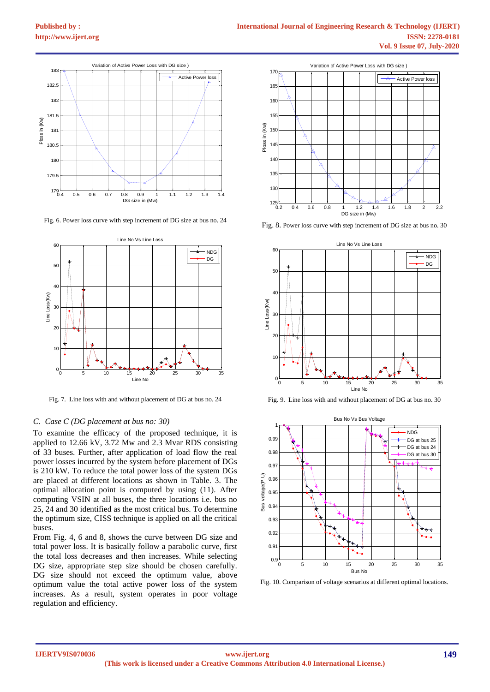

Fig. 6. Power loss curve with step increment of DG size at bus no. 24



Fig. 7. Line loss with and without placement of DG at bus no. 24

#### *C. Case C (DG placement at bus no: 30)*

To examine the efficacy of the proposed technique, it is applied to 12.66 kV, 3.72 Mw and 2.3 Mvar RDS consisting of 33 buses. Further, after application of load flow the real power losses incurred by the system before placement of DGs is 210 kW. To reduce the total power loss of the system DGs are placed at different locations as shown in Table. 3. The optimal allocation point is computed by using (11). After computing VSIN at all buses, the three locations i.e. bus no 25, 24 and 30 identified as the most critical bus. To determine the optimum size, CISS technique is applied on all the critical buses.

From Fig. 4, 6 and 8, shows the curve between DG size and total power loss. It is basically follow a parabolic curve, first the total loss decreases and then increases. While selecting DG size, appropriate step size should be chosen carefully. DG size should not exceed the optimum value, above optimum value the total active power loss of the system increases. As a result, system operates in poor voltage regulation and efficiency.



Fig. 8. Power loss curve with step increment of DG size at bus no. 30



Fig. 9. Line loss with and without placement of DG at bus no. 30



Fig. 10. Comparison of voltage scenarios at different optimal locations.